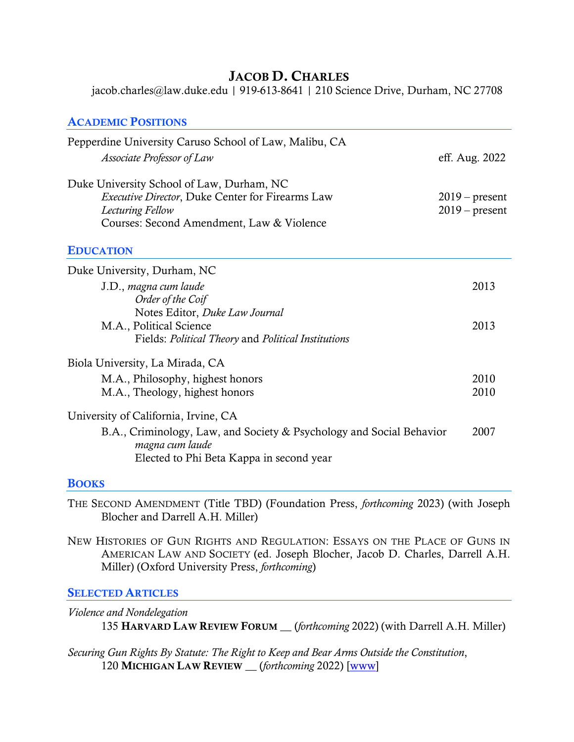# JACOB D. CHARLES

jacob.charles@law.duke.edu | 919-613-8641 | 210 Science Drive, Durham, NC 27708

| <b>ACADEMIC POSITIONS</b>                                                                                                                                             |                                      |
|-----------------------------------------------------------------------------------------------------------------------------------------------------------------------|--------------------------------------|
| Pepperdine University Caruso School of Law, Malibu, CA                                                                                                                |                                      |
| Associate Professor of Law                                                                                                                                            | eff. Aug. 2022                       |
| Duke University School of Law, Durham, NC<br><b>Executive Director, Duke Center for Firearms Law</b><br>Lecturing Fellow<br>Courses: Second Amendment, Law & Violence | $2019$ – present<br>$2019$ – present |
| <b>EDUCATION</b>                                                                                                                                                      |                                      |
| Duke University, Durham, NC                                                                                                                                           |                                      |
| J.D., magna cum laude<br>Order of the Coif                                                                                                                            | 2013                                 |
| Notes Editor, Duke Law Journal                                                                                                                                        |                                      |
| M.A., Political Science<br>Fields: Political Theory and Political Institutions                                                                                        | 2013                                 |
| Biola University, La Mirada, CA                                                                                                                                       |                                      |
| M.A., Philosophy, highest honors<br>M.A., Theology, highest honors                                                                                                    | 2010<br>2010                         |
| University of California, Irvine, CA                                                                                                                                  |                                      |
| B.A., Criminology, Law, and Society & Psychology and Social Behavior<br>magna cum laude<br>Elected to Phi Beta Kappa in second year                                   | 2007                                 |

#### **BOOKS**

THE SECOND AMENDMENT (Title TBD) (Foundation Press, *forthcoming* 2023) (with Joseph Blocher and Darrell A.H. Miller)

NEW HISTORIES OF GUN RIGHTS AND REGULATION: ESSAYS ON THE PLACE OF GUNS IN AMERICAN LAW AND SOCIETY (ed. Joseph Blocher, Jacob D. Charles, Darrell A.H. Miller) (Oxford University Press, *forthcoming*)

#### **SELECTED ARTICLES**

*Violence and Nondelegation* 135 HARVARD LAW REVIEW FORUM \_\_ (*forthcoming* 2022) (with Darrell A.H. Miller)

*Securing Gun Rights By Statute: The Right to Keep and Bear Arms Outside the Constitution*, 120 MICHIGAN LAW REVIEW \_\_ (*forthcoming* 2022) [\[www\]](https://papers.ssrn.com/sol3/papers.cfm?abstract_id=3789216)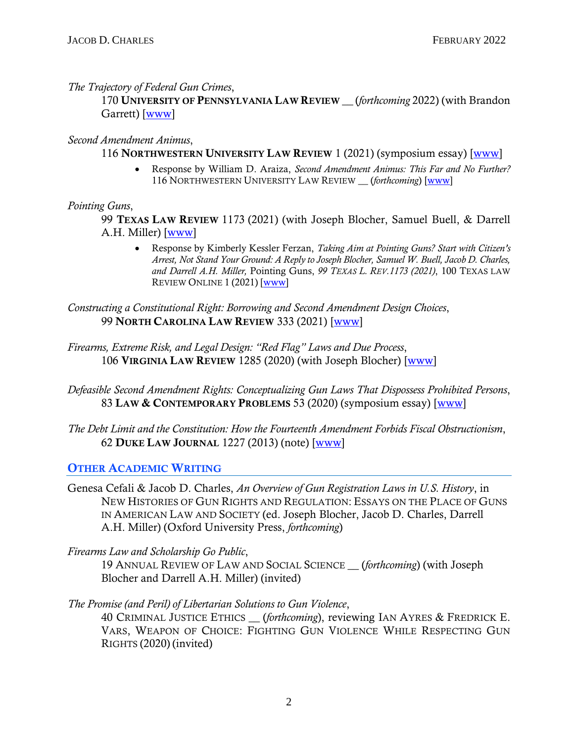*The Trajectory of Federal Gun Crimes*,

170 UNIVERSITY OF PENNSYLVANIA LAW REVIEW \_\_ (*forthcoming* 2022) (with Brandon Garrett) [\[www\]](https://papers.ssrn.com/sol3/papers.cfm?abstract_id=3685910)

## *Second Amendment Animus*,

## 116 NORTHWESTERN UNIVERSITY LAW REVIEW 1 (2021) (symposium essay) [\[www\]](https://papers.ssrn.com/sol3/papers.cfm?abstract_id=3914237)

• Response by William D. Araiza, *Second Amendment Animus: This Far and No Further?* 116 NORTHWESTERN UNIVERSITY LAW REVIEW \_\_ (*forthcoming*) [\[www\]](https://papers.ssrn.com/sol3/papers.cfm?abstract_id=3947156)

## *Pointing Guns*,

99 TEXAS LAW REVIEW 1173 (2021) (with Joseph Blocher, Samuel Buell, & Darrell A.H. Miller) [\[www\]](https://papers.ssrn.com/sol3/papers.cfm?abstract_id=3740700)

• Response by Kimberly Kessler Ferzan, *Taking Aim at Pointing Guns? Start with Citizen's Arrest, Not Stand Your Ground: A Reply to Joseph Blocher, Samuel W. Buell, Jacob D. Charles, and Darrell A.H. Miller,* Pointing Guns, *99 TEXAS L. REV.1173 (2021)*, 100 TEXAS LAW REVIEW ONLINE 1 (2021) [\[www\]](https://texaslawreview.org/wp-content/uploads/2021/09/Ferzan.Publication.pdf)

*Constructing a Constitutional Right: Borrowing and Second Amendment Design Choices*, 99 NORTH CAROLINA LAW REVIEW 333 (2021) [\[www\]](https://papers.ssrn.com/sol3/papers.cfm?abstract_id=3539883)

*Firearms, Extreme Risk, and Legal Design: "Red Flag" Laws and Due Process*, 106 VIRGINIA LAW REVIEW 1285 (2020) (with Joseph Blocher) [\[www\]](https://papers.ssrn.com/sol3/papers.cfm?abstract_id=3534630)

- *Defeasible Second Amendment Rights: Conceptualizing Gun Laws That Dispossess Prohibited Persons*, 83 LAW & CONTEMPORARY PROBLEMS 53 (2020) (symposium essay) [\[www\]](https://papers.ssrn.com/sol3/papers.cfm?abstract_id=3657657)
- *The Debt Limit and the Constitution: How the Fourteenth Amendment Forbids Fiscal Obstructionism*, 62 DUKE LAW JOURNAL 1227 (2013) (note) [\[www\]](https://papers.ssrn.com/sol3/papers.cfm?abstract_id=2018706)

## OTHER ACADEMIC WRITING

Genesa Cefali & Jacob D. Charles, *An Overview of Gun Registration Laws in U.S. History*, in NEW HISTORIES OF GUN RIGHTS AND REGULATION: ESSAYS ON THE PLACE OF GUNS IN AMERICAN LAW AND SOCIETY (ed. Joseph Blocher, Jacob D. Charles, Darrell A.H. Miller) (Oxford University Press, *forthcoming*)

*Firearms Law and Scholarship Go Public*,

19 ANNUAL REVIEW OF LAW AND SOCIAL SCIENCE \_\_ (*forthcoming*) (with Joseph Blocher and Darrell A.H. Miller) (invited)

## *The Promise (and Peril) of Libertarian Solutions to Gun Violence*,

40 CRIMINAL JUSTICE ETHICS \_\_ (*forthcoming*), reviewing IAN AYRES & FREDRICK E. VARS, WEAPON OF CHOICE: FIGHTING GUN VIOLENCE WHILE RESPECTING GUN RIGHTS (2020) (invited)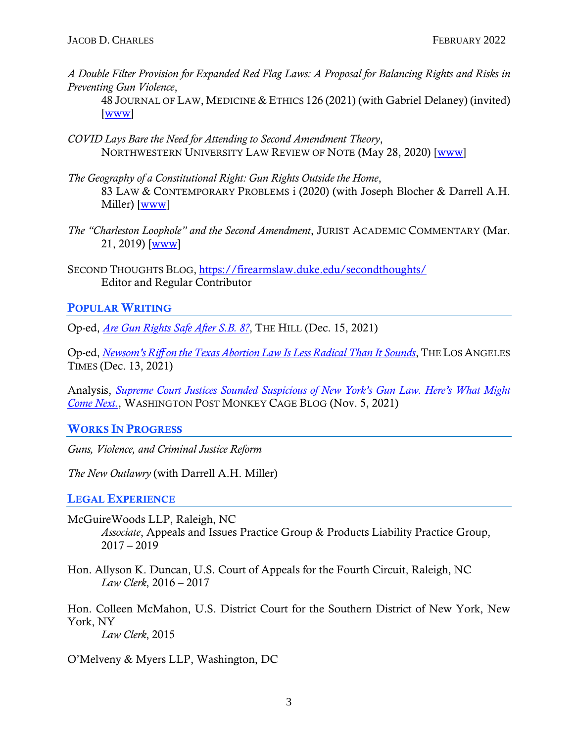*A Double Filter Provision for Expanded Red Flag Laws: A Proposal for Balancing Rights and Risks in Preventing Gun Violence*,

48 JOURNAL OF LAW, MEDICINE & ETHICS 126 (2021) (with Gabriel Delaney) (invited) [\[www\]](https://journals.sagepub.com/doi/full/10.1177/1073110520979412#articleCitationDownloadContainer)

- *COVID Lays Bare the Need for Attending to Second Amendment Theory*, NORTHWESTERN UNIVERSITY LAW REVIEW OF NOTE (May 28, 2020) [\[www\]](https://blog.northwesternlaw.review/?p=1441)
- *The Geography of a Constitutional Right: Gun Rights Outside the Home*, 83 LAW & CONTEMPORARY PROBLEMS i (2020) (with Joseph Blocher & Darrell A.H. Miller) [\[www\]](https://scholarship.law.duke.edu/lcp/vol83/iss3/1/)
- *The "Charleston Loophole" and the Second Amendment*, JURIST ACADEMIC COMMENTARY (Mar. 21, 2019) [\[www\]](https://www.jurist.org/commentary/2019/03/jacob-d-charles-charleston-loophole/)
- SECOND THOUGHTS BLOG, <https://firearmslaw.duke.edu/secondthoughts/> Editor and Regular Contributor

# POPULAR WRITING

Op-ed, *[Are Gun Rights Safe After S.B. 8?](https://thehill.com/opinion/judiciary/585700-are-gun-rights-safe-after-sb8?rl=1)*, THE HILL (Dec. 15, 2021)

Op-ed, *[Newsom's Riff on the Texas Abortion Law Is Less Radical Than It Sounds](https://www.latimes.com/opinion/story/2021-12-13/newsoms-gun-ban-idea-is-less-radical-than-texas-abortion-law-sb8)*, THE LOS ANGELES TIMES (Dec. 13, 2021)

Analysis, *[Supreme Court Justices Sounded Suspicious of New York's Gun Law. Here's What Might](https://www.washingtonpost.com/politics/2021/11/05/supreme-court-justices-sounded-suspicious-new-yorks-gun-law-heres-what-might-come-next/)  [Come Next.](https://www.washingtonpost.com/politics/2021/11/05/supreme-court-justices-sounded-suspicious-new-yorks-gun-law-heres-what-might-come-next/)*, WASHINGTON POST MONKEY CAGE BLOG (Nov. 5, 2021)

## WORKS IN PROGRESS

*Guns, Violence, and Criminal Justice Reform*

*The New Outlawry* (with Darrell A.H. Miller)

## LEGAL EXPERIENCE

- McGuireWoods LLP, Raleigh, NC *Associate*, Appeals and Issues Practice Group & Products Liability Practice Group,  $2017 - 2019$
- Hon. Allyson K. Duncan, U.S. Court of Appeals for the Fourth Circuit, Raleigh, NC *Law Clerk*, 2016 – 2017

Hon. Colleen McMahon, U.S. District Court for the Southern District of New York, New York, NY

*Law Clerk*, 2015

O'Melveny & Myers LLP, Washington, DC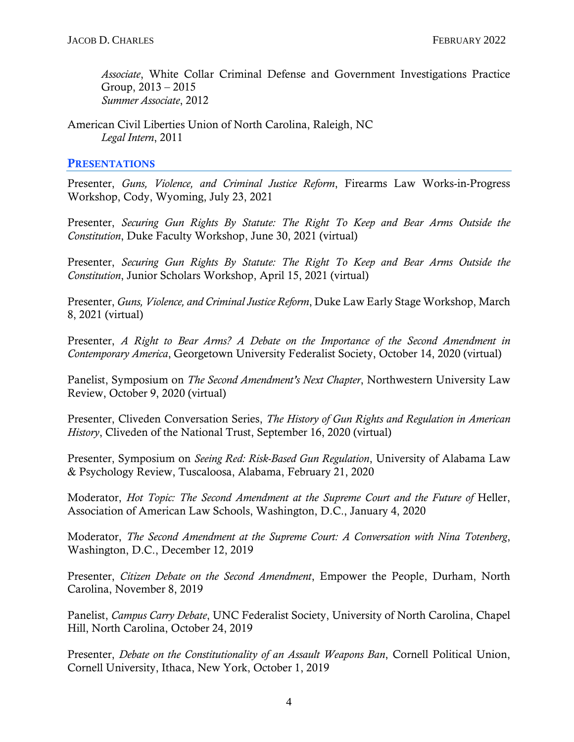*Associate*, White Collar Criminal Defense and Government Investigations Practice Group,  $2013 - 2015$ *Summer Associate*, 2012

American Civil Liberties Union of North Carolina, Raleigh, NC *Legal Intern*, 2011

#### **PRESENTATIONS**

Presenter, *Guns, Violence, and Criminal Justice Reform*, Firearms Law Works-in-Progress Workshop, Cody, Wyoming, July 23, 2021

Presenter, *Securing Gun Rights By Statute: The Right To Keep and Bear Arms Outside the Constitution*, Duke Faculty Workshop, June 30, 2021 (virtual)

Presenter, *Securing Gun Rights By Statute: The Right To Keep and Bear Arms Outside the Constitution*, Junior Scholars Workshop, April 15, 2021 (virtual)

Presenter, *Guns, Violence, and Criminal Justice Reform*, Duke Law Early Stage Workshop, March 8, 2021 (virtual)

Presenter, *A Right to Bear Arms? A Debate on the Importance of the Second Amendment in Contemporary America*, Georgetown University Federalist Society, October 14, 2020 (virtual)

Panelist, Symposium on *The Second Amendment's Next Chapter*, Northwestern University Law Review, October 9, 2020 (virtual)

Presenter, Cliveden Conversation Series, *The History of Gun Rights and Regulation in American History*, Cliveden of the National Trust, September 16, 2020 (virtual)

Presenter, Symposium on *Seeing Red: Risk-Based Gun Regulation*, University of Alabama Law & Psychology Review, Tuscaloosa, Alabama, February 21, 2020

Moderator, *Hot Topic: The Second Amendment at the Supreme Court and the Future of Heller*, Association of American Law Schools, Washington, D.C., January 4, 2020

Moderator, *The Second Amendment at the Supreme Court: A Conversation with Nina Totenberg*, Washington, D.C., December 12, 2019

Presenter, *Citizen Debate on the Second Amendment*, Empower the People, Durham, North Carolina, November 8, 2019

Panelist, *Campus Carry Debate*, UNC Federalist Society, University of North Carolina, Chapel Hill, North Carolina, October 24, 2019

Presenter, *Debate on the Constitutionality of an Assault Weapons Ban*, Cornell Political Union, Cornell University, Ithaca, New York, October 1, 2019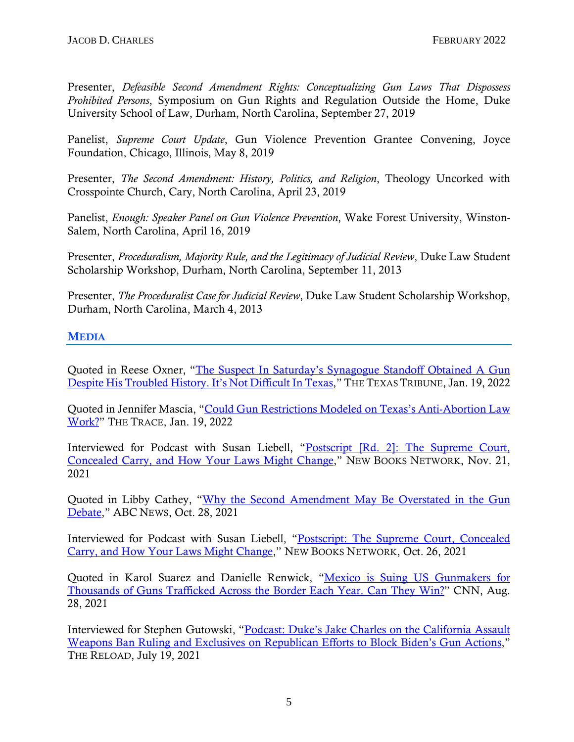Presenter, *Defeasible Second Amendment Rights: Conceptualizing Gun Laws That Dispossess Prohibited Persons*, Symposium on Gun Rights and Regulation Outside the Home, Duke University School of Law, Durham, North Carolina, September 27, 2019

Panelist, *Supreme Court Update*, Gun Violence Prevention Grantee Convening, Joyce Foundation, Chicago, Illinois, May 8, 2019

Presenter, *The Second Amendment: History, Politics, and Religion*, Theology Uncorked with Crosspointe Church, Cary, North Carolina, April 23, 2019

Panelist, *Enough: Speaker Panel on Gun Violence Prevention*, Wake Forest University, Winston-Salem, North Carolina, April 16, 2019

Presenter, *Proceduralism, Majority Rule, and the Legitimacy of Judicial Review*, Duke Law Student Scholarship Workshop, Durham, North Carolina, September 11, 2013

Presenter, *The Proceduralist Case for Judicial Review*, Duke Law Student Scholarship Workshop, Durham, North Carolina, March 4, 2013

# MEDIA

Quoted in Reese Oxner, ["The Suspect In Saturday's Synagogue Standoff Obtained A Gun](https://www.texastribune.org/2022/01/19/synagogue-hostages-texas-guns/)  [Despite His Troubled History. It's Not Difficult In Texas,](https://www.texastribune.org/2022/01/19/synagogue-hostages-texas-guns/)" THE TEXAS TRIBUNE, Jan. 19, 2022

Quoted in Jennifer Mascia, ["Could Gun Restrictions Modeled on Texas's Anti-Abortion Law](https://www.thetrace.org/2022/01/texas-abortion-law-applied-to-guns-california-new-york/)  [Work?"](https://www.thetrace.org/2022/01/texas-abortion-law-applied-to-guns-california-new-york/) THE TRACE, Jan. 19, 2022

Interviewed for Podcast with Susan Liebell, "Postscript [Rd. 2]: The Supreme Court, [Concealed Carry, and How Your Laws Might Change,](https://newbooksnetwork.com/postscript-the-supreme-court-concealed-carry-and-how-your-laws-might-change-1)" NEW BOOKS NETWORK, Nov. 21, 2021

Quoted in Libby Cathey, ["Why the Second Amendment May Be Overstated in the Gun](https://abcnews.go.com/US/amendment-overstated-gun-debate/story?id=79474562)  [Debate,](https://abcnews.go.com/US/amendment-overstated-gun-debate/story?id=79474562)" ABC NEWS, Oct. 28, 2021

Interviewed for Podcast with Susan Liebell, ["Postscript: The Supreme Court, Concealed](https://newbooksnetwork.com/postscript-the-supreme-court-concealed-carry-and-how-your-laws-might-change)  [Carry, and How Your Laws Might Change,](https://newbooksnetwork.com/postscript-the-supreme-court-concealed-carry-and-how-your-laws-might-change)" NEW BOOKS NETWORK, Oct. 26, 2021

Quoted in Karol Suarez and Danielle Renwick, ["Mexico is Suing US Gunmakers for](https://www.cnn.com/2021/08/28/americas/mexico-us-gun-manufacturers-lawsuit-intl-latam/index.html)  [Thousands of Guns Trafficked Across the Border Each Year. Can They Win?"](https://www.cnn.com/2021/08/28/americas/mexico-us-gun-manufacturers-lawsuit-intl-latam/index.html) CNN, Aug. 28, 2021

Interviewed for Stephen Gutowski, ["Podcast: Duke's Jake Charles on the California Assault](https://thereload.com/podcast-dukes-jake-charles-on-the-california-assault-weapons-ban-ruling-and-exclusives-on-republican-efforts-to-block-bidens-gun-actions-member-early-access/)  [Weapons Ban Ruling and Exclusives on Republican Efforts to Block Biden's Gun Actions,](https://thereload.com/podcast-dukes-jake-charles-on-the-california-assault-weapons-ban-ruling-and-exclusives-on-republican-efforts-to-block-bidens-gun-actions-member-early-access/)" THE RELOAD, July 19, 2021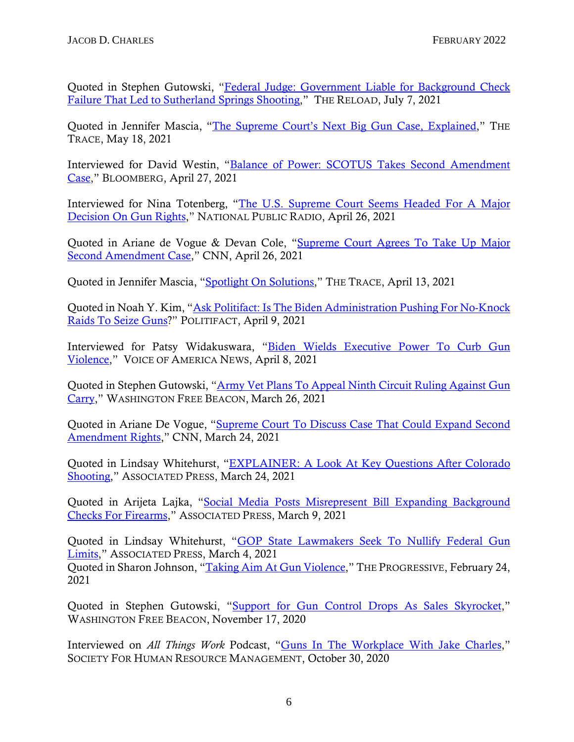Quoted in Stephen Gutowski, ["Federal Judge: Government Liable for Background Check](https://thereload.com/federal-judge-government-liable-for-background-check-failure-that-led-to-sutherland-springs-shooting/)  [Failure That Led to Sutherland Springs Shooting,](https://thereload.com/federal-judge-government-liable-for-background-check-failure-that-led-to-sutherland-springs-shooting/)" THE RELOAD, July 7, 2021

Quoted in Jennifer Mascia, ["The Supreme Court's Next Big Gun Case, Explained,](https://www.thetrace.org/2021/05/supreme-court-gun-rights-concealed-carry-new-york-corlett/)" THE TRACE, May 18, 2021

Interviewed for David Westin, ["Balance of Power: SCOTUS Takes Second Amendment](https://www.bloomberg.com/news/audio/2021-04-27/balance-of-power-scotus-takes-second-amendment-case)  [Case,](https://www.bloomberg.com/news/audio/2021-04-27/balance-of-power-scotus-takes-second-amendment-case)" BLOOMBERG, April 27, 2021

Interviewed for Nina Totenberg, ["The U.S. Supreme Court Seems Headed For A Major](https://www.npr.org/transcripts/990980196)  [Decision On Gun Rights,](https://www.npr.org/transcripts/990980196)" NATIONAL PUBLIC RADIO, April 26, 2021

Quoted in Ariane de Vogue & Devan Cole, ["Supreme Court Agrees To Take Up Major](https://www.cnn.com/2021/04/26/politics/supreme-court-second-amendment-case/index.html)  [Second Amendment Case,](https://www.cnn.com/2021/04/26/politics/supreme-court-second-amendment-case/index.html)" CNN, April 26, 2021

Quoted in Jennifer Mascia, ["Spotlight On Solutions,](https://us11.campaign-archive.com/?e=88cb3e6c8e&u=ede67bec056d768ad181c8db1&id=ab39d8f99b)" THE TRACE, April 13, 2021

Quoted in Noah Y. Kim, ["Ask Politifact: Is The Biden Administration Pushing For No-Knock](https://www.politifact.com/article/2021/apr/09/ask-politifact-biden-administration-pushing-no-kno/)  [Raids To Seize Guns?](https://www.politifact.com/article/2021/apr/09/ask-politifact-biden-administration-pushing-no-kno/)" POLITIFACT, April 9, 2021

Interviewed for Patsy Widakuswara, ["Biden Wields Executive Power To Curb Gun](https://www.voanews.com/episode/biden-wields-executive-power-curb-gun-violence-4651956)  [Violence,](https://www.voanews.com/episode/biden-wields-executive-power-curb-gun-violence-4651956)" VOICE OF AMERICA NEWS, April 8, 2021

Quoted in Stephen Gutowski, ["Army Vet Plans To Appeal Ninth Circuit Ruling Against Gun](https://freebeacon.com/guns/army-vet-plans-to-appeal-ninth-circuit-ruling-against-gun-carry/)  [Carry,](https://freebeacon.com/guns/army-vet-plans-to-appeal-ninth-circuit-ruling-against-gun-carry/)" WASHINGTON FREE BEACON, March 26, 2021

Quoted in Ariane De Vogue, ["Supreme Court To Discuss Case That Could Expand Second](https://www.cnn.com/2021/03/23/politics/scotus-second-amendment-new-york-boulder-colorado/index.html)  [Amendment Rights,](https://www.cnn.com/2021/03/23/politics/scotus-second-amendment-new-york-boulder-colorado/index.html)" CNN, March 24, 2021

Quoted in Lindsay Whitehurst, ["EXPLAINER: A Look At Key Questions After Colorado](https://www.eastoregonian.com/coronavirus/national/explainer-a-look-at-key-questions-after-colorado-shooting/article_58404266-1521-5035-a4b8-efc5eb5455a7.html)  [Shooting,](https://www.eastoregonian.com/coronavirus/national/explainer-a-look-at-key-questions-after-colorado-shooting/article_58404266-1521-5035-a4b8-efc5eb5455a7.html)" ASSOCIATED PRESS, March 24, 2021

Quoted in Arijeta Lajka, ["Social Media Posts Misrepresent Bill Expanding Background](https://apnews.com/article/fact-checking-afs:Content:9977461218)  [Checks For Firearms,](https://apnews.com/article/fact-checking-afs:Content:9977461218)" ASSOCIATED PRESS, March 9, 2021

Quoted in Lindsay Whitehurst, ["GOP State Lawmakers Seek To Nullify Federal Gun](https://www.seattletimes.com/nation-world/nation/gop-state-lawmakers-seek-to-nullifying-federal-gun-limits/)  [Limits,](https://www.seattletimes.com/nation-world/nation/gop-state-lawmakers-seek-to-nullifying-federal-gun-limits/)" ASSOCIATED PRESS, March 4, 2021 Quoted in Sharon Johnson, ["Taking Aim At Gun Violence,](https://progressive.org/magazine/taking-aim-at-gun-violence-johnson/)" THE PROGRESSIVE, February 24, 2021

Quoted in Stephen Gutowski, ["Support for Gun Control Drops As Sales Skyrocket,](https://freebeacon.com/2020-election/support-for-gun-control-drops-as-sales-skyrocket/)" WASHINGTON FREE BEACON, November 17, 2020

Interviewed on *All Things Work* Podcast, ["Guns In The Workplace With Jake Charles,](https://www.buzzsprout.com/246818/6031978)" SOCIETY FOR HUMAN RESOURCE MANAGEMENT, October 30, 2020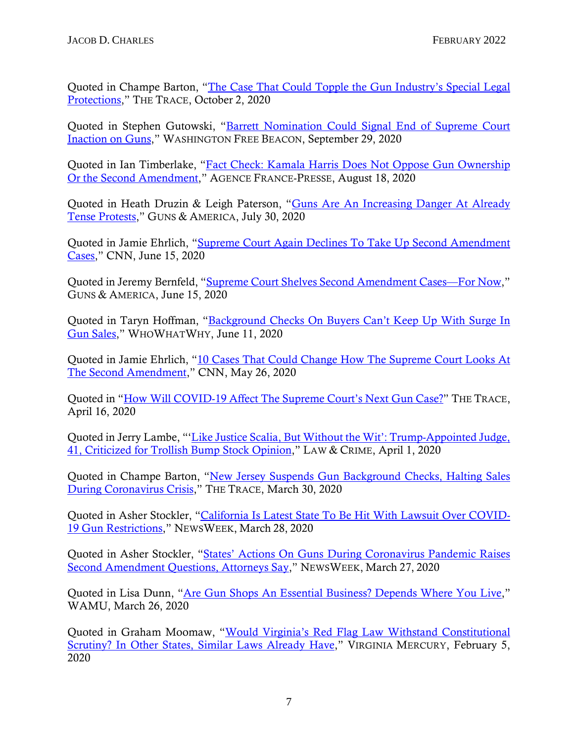Quoted in Champe Barton, "The Case That Could Topple the Gun Industry's Special Legal [Protections,](https://www.thetrace.org/2020/10/gunmakers-wrongful-death-lawsuits-sue-springfield-armory/)" THE TRACE, October 2, 2020

Quoted in Stephen Gutowski, ["Barrett Nomination Could Signal End of Supreme Court](https://freebeacon.com/courts/barrett-nomination-could-signal-end-of-supreme-court-inaction-on-guns/)  [Inaction on Guns,](https://freebeacon.com/courts/barrett-nomination-could-signal-end-of-supreme-court-inaction-on-guns/)" WASHINGTON FREE BEACON, September 29, 2020

Quoted in Ian Timberlake, ["Fact Check: Kamala Harris Does Not Oppose Gun Ownership](https://factcheck.afp.com/kamala-harris-does-not-oppose-gun-ownership-or-second-amendment)  [Or the Second Amendment,](https://factcheck.afp.com/kamala-harris-does-not-oppose-gun-ownership-or-second-amendment)" AGENCE FRANCE-PRESSE, August 18, 2020

Quoted in Heath Druzin & Leigh Paterson, ["Guns Are An Increasing Danger At Already](https://gunsandamerica.org/story/20/07/30/guns-anti-police-violence-protests-aurora-colorado/)  [Tense Protests,](https://gunsandamerica.org/story/20/07/30/guns-anti-police-violence-protests-aurora-colorado/)" GUNS & AMERICA, July 30, 2020

Quoted in Jamie Ehrlich, ["Supreme Court Again Declines To Take Up Second Amendment](https://www.cnn.com/2020/06/15/politics/second-amendment-supreme-court/index.html)  [Cases,](https://www.cnn.com/2020/06/15/politics/second-amendment-supreme-court/index.html)" CNN, June 15, 2020

Quoted in Jeremy Bernfeld, ["Supreme Court Shelves Second Amendment Cases—For Now,](https://gunsandamerica.org/story/20/06/15/scotus-2a-denied-gun-rights-cases/)" GUNS & AMERICA, June 15, 2020

Quoted in Taryn Hoffman, ["Background Checks On Buyers Can't Keep Up With Surge In](https://whowhatwhy.org/2020/06/11/background-checks-on-buyers-cant-keep-up-with-surge-in-gun-sales/)  [Gun Sales,](https://whowhatwhy.org/2020/06/11/background-checks-on-buyers-cant-keep-up-with-surge-in-gun-sales/)" WHOWHATWHY, June 11, 2020

Quoted in Jamie Ehrlich, ["10 Cases That Could Change How The Supreme Court Looks At](https://us.cnn.com/2020/05/26/politics/supreme-court-second-amendment/index.html)  [The Second Amendment,](https://us.cnn.com/2020/05/26/politics/supreme-court-second-amendment/index.html)" CNN, May 26, 2020

Quoted in ["How Will COVID-19 Affect The Supreme Court's Next Gun Case?"](https://www.thetrace.org/rounds/daily-bulletin-covid-19-coronavirus-scotus-suicide-virginia-tech/) THE TRACE, April 16, 2020

Quoted in Jerry Lambe, "['Like Justice Scalia, But Without the Wit': Trump-Appointed Judge,](https://lawandcrime.com/awkward/like-justice-scalia-but-without-the-wit-trump-appointed-judge-41-criticized-for-trollish-bump-stock-opinion/)  [41, Criticized for Trollish Bump Stock Opinion,](https://lawandcrime.com/awkward/like-justice-scalia-but-without-the-wit-trump-appointed-judge-41-criticized-for-trollish-bump-stock-opinion/)" LAW & CRIME, April 1, 2020

Quoted in Champe Barton, ["New Jersey Suspends Gun Background Checks, Halting Sales](https://www.thetrace.org/2020/03/new-jersey-suspends-gun-background-checks-halting-sales-during-coronavirus-crisis/)  [During Coronavirus Crisis,](https://www.thetrace.org/2020/03/new-jersey-suspends-gun-background-checks-halting-sales-during-coronavirus-crisis/)" THE TRACE, March 30, 2020

Quoted in Asher Stockler, ["California Is Latest State To Be Hit With Lawsuit Over COVID-](https://www.newsweek.com/california-lawsuit-covid-19-firearms-gavin-newsom-1494843)[19 Gun Restrictions,](https://www.newsweek.com/california-lawsuit-covid-19-firearms-gavin-newsom-1494843)" NEWSWEEK, March 28, 2020

Quoted in Asher Stockler, ["States' Actions On Guns During Coronavirus Pandemic Raises](https://www.newsweek.com/states-actions-guns-during-coronavirus-pandemic-raises-second-amendment-questions-attorneys-say-1494602)  [Second Amendment Questions, Attorneys Say,](https://www.newsweek.com/states-actions-guns-during-coronavirus-pandemic-raises-second-amendment-questions-attorneys-say-1494602)" NEWSWEEK, March 27, 2020

Quoted in Lisa Dunn, ["Are Gun Shops An Essential Business? Depends Where You Live,](https://wamu.org/story/20/03/26/are-gun-shops-an-essential-business-depends-where-you-live/)" WAMU, March 26, 2020

Quoted in Graham Moomaw, ["Would Virginia's Red Flag Law Withstand Constitutional](https://www.virginiamercury.com/2020/02/05/would-virginias-red-flag-law-withstand-constitutional-scrutiny-in-other-states-it-already-has/)  [Scrutiny? In Other States, Similar Laws Already Have,](https://www.virginiamercury.com/2020/02/05/would-virginias-red-flag-law-withstand-constitutional-scrutiny-in-other-states-it-already-has/)" VIRGINIA MERCURY, February 5, 2020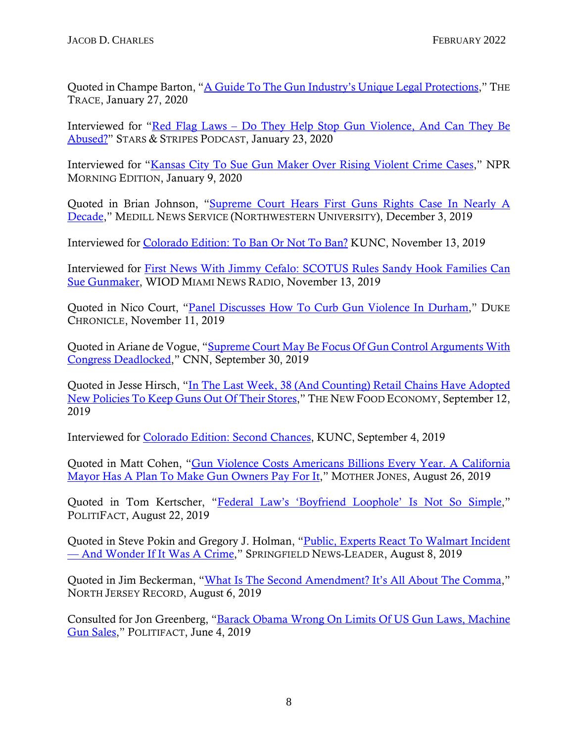Quoted in Champe Barton, "A Guide To The Gun Industry's Unique Legal Protections." THE TRACE, January 27, 2020

Interviewed for "Red Flag Laws – [Do They Help Stop Gun Violence, And Can They Be](https://www.stripes.com/podcasts/military-matters/episode-2-red-flag-laws-do-they-help-stop-gun-violence-and-can-they-be-abused-1.615745)  [Abused?"](https://www.stripes.com/podcasts/military-matters/episode-2-red-flag-laws-do-they-help-stop-gun-violence-and-can-they-be-abused-1.615745) STARS & STRIPES PODCAST, January 23, 2020

Interviewed for ["Kansas City To Sue Gun Maker Over Rising Violent Crime Cases,](https://www.npr.org/2020/01/09/794816728/kansas-city-to-sue-gun-maker-over-rising-violent-crime-cases)" NPR MORNING EDITION, January 9, 2020

Quoted in Brian Johnson, ["Supreme Court Hears First Guns Rights Case In Nearly A](https://dc.medill.northwestern.edu/blog/2019/12/03/supreme-court-hears-only-guns-rights-case-in-a-decade/#sthash.2pSuGr5R.ac1xm6Ej.dpbs)  [Decade,](https://dc.medill.northwestern.edu/blog/2019/12/03/supreme-court-hears-only-guns-rights-case-in-a-decade/#sthash.2pSuGr5R.ac1xm6Ej.dpbs)" MEDILL NEWS SERVICE (NORTHWESTERN UNIVERSITY), December 3, 2019

Interviewed for [Colorado Edition: To Ban Or Not To Ban?](https://www.kunc.org/post/colorado-edition-ban-or-not-ban#stream/0) KUNC, November 13, 2019

Interviewed for [First News With Jimmy Cefalo: SCOTUS Rules Sandy Hook Families Can](https://www.iheart.com/podcast/53-first-news-with-jimm-28270573/episode/11-13-scotus-rules-sandy-hook-52555501/)  [Sue Gunmaker,](https://www.iheart.com/podcast/53-first-news-with-jimm-28270573/episode/11-13-scotus-rules-sandy-hook-52555501/) WIOD MIAMI NEWS RADIO, November 13, 2019

Quoted in Nico Court, ["Panel Discusses How To Curb Gun Violence In Durham,](https://www.dukechronicle.com/article/2019/11/gun-violence-durham-duke-panel-second-amendment)" DUKE CHRONICLE, November 11, 2019

Quoted in Ariane de Vogue, ["Supreme Court May Be Focus Of Gun Control Arguments With](https://www.cnn.com/2019/09/30/politics/supreme-court-second-amendment/index.html)  [Congress Deadlocked,](https://www.cnn.com/2019/09/30/politics/supreme-court-second-amendment/index.html)" CNN, September 30, 2019

Quoted in Jesse Hirsch, ["In The Last Week, 38 \(And Counting\) Retail Chains Have Adopted](https://newfoodeconomy.org/supermarket-gun-control-walmart-kroger-open-carry/)  [New Policies To Keep Guns Out Of Their Stores,](https://newfoodeconomy.org/supermarket-gun-control-walmart-kroger-open-carry/)" THE NEW FOOD ECONOMY, September 12, 2019

Interviewed for [Colorado Edition: Second Chances,](https://www.kunc.org/post/colorado-edition-second-chances#stream/0) KUNC, September 4, 2019

Quoted in Matt Cohen, ["Gun Violence Costs Americans Billions Every Year. A California](https://www.motherjones.com/politics/2019/08/gun-violence-costs-americans-billions-every-year-a-california-mayor-has-a-plan-to-make-gun-owners-pay-for-it/)  [Mayor Has A Plan To Make Gun Owners Pay For It,](https://www.motherjones.com/politics/2019/08/gun-violence-costs-americans-billions-every-year-a-california-mayor-has-a-plan-to-make-gun-owners-pay-for-it/)" MOTHER JONES, August 26, 2019

Quoted in Tom Kertscher, ["Federal Law's 'Boyfriend Loophole' Is Not So Simple,](https://www.politifact.com/truth-o-meter/statements/2019/aug/22/amy-klobuchar/boyfriend-loophole-some-convicted-domestic-violenc/)" POLITIFACT, August 22, 2019

Quoted in Steve Pokin and Gregory J. Holman, ["Public, Experts React To Walmart Incident](https://www.news-leader.com/story/news/local/ozarks/2019/08/08/springfield-walmart-man-arrested-rifle-bulletproof-vest/1962421001/)  — [And Wonder If It Was A Crime,](https://www.news-leader.com/story/news/local/ozarks/2019/08/08/springfield-walmart-man-arrested-rifle-bulletproof-vest/1962421001/)" SPRINGFIELD NEWS-LEADER, August 8, 2019

Quoted in Jim Beckerman, ["What Is The Second Amendment? It's All About The Comma,](https://www.northjersey.com/story/news/2019/08/06/what-second-amendment-its-all-comma/1922436001/)" NORTH JERSEY RECORD, August 6, 2019

Consulted for Jon Greenberg, ["Barack Obama Wrong On Limits Of US Gun Laws, Machine](https://www.politifact.com/truth-o-meter/statements/2019/jun/04/barack-obama/barack-obama-wrong-limits-us-gun-laws/)  [Gun Sales,](https://www.politifact.com/truth-o-meter/statements/2019/jun/04/barack-obama/barack-obama-wrong-limits-us-gun-laws/)" POLITIFACT, June 4, 2019